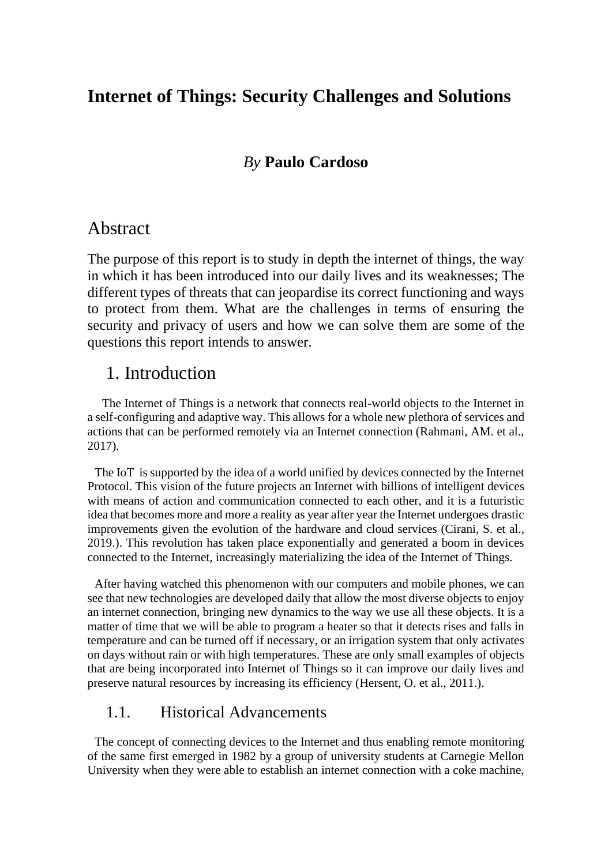# **Internet of Things: Security Challenges and Solutions**

## *By* **Paulo Cardoso**

#### Abstract

The purpose of this report is to study in depth the internet of things, the way in which it has been introduced into our daily lives and its weaknesses; The different types of threats that can jeopardise its correct functioning and ways to protect from them. What are the challenges in terms of ensuring the security and privacy of users and how we can solve them are some of the questions this report intends to answer.

## 1. Introduction

The Internet of Things is a network that connects real-world objects to the Internet in a self-configuring and adaptive way. This allows for a whole new plethora of services and actions that can be performed remotely via an Internet connection (Rahmani, AM. et al., 2017).

The IoT is supported by the idea of a world unified by devices connected by the Internet Protocol. This vision of the future projects an Internet with billions of intelligent devices with means of action and communication connected to each other, and it is a futuristic idea that becomes more and more a reality as year after year the Internet undergoes drastic improvements given the evolution of the hardware and cloud services (Cirani, S. et al., 2019.). This revolution has taken place exponentially and generated a boom in devices connected to the Internet, increasingly materializing the idea of the Internet of Things.

After having watched this phenomenon with our computers and mobile phones, we can see that new technologies are developed daily that allow the most diverse objects to enjoy an internet connection, bringing new dynamics to the way we use all these objects. It is a matter of time that we will be able to program a heater so that it detects rises and falls in temperature and can be turned off if necessary, or an irrigation system that only activates on days without rain or with high temperatures. These are only small examples of objects that are being incorporated into Internet of Things so it can improve our daily lives and preserve natural resources by increasing its efficiency (Hersent, O. et al., 2011.).

#### 1.1. Historical Advancements

The concept of connecting devices to the Internet and thus enabling remote monitoring of the same first emerged in 1982 by a group of university students at Carnegie Mellon University when they were able to establish an internet connection with a coke machine,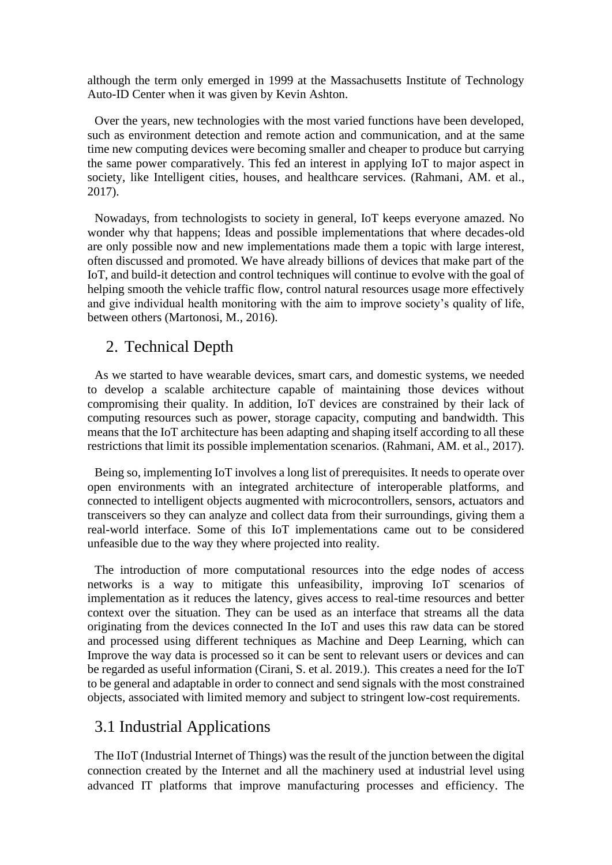although the term only emerged in 1999 at the Massachusetts Institute of Technology Auto-ID Center when it was given by Kevin Ashton.

Over the years, new technologies with the most varied functions have been developed, such as environment detection and remote action and communication, and at the same time new computing devices were becoming smaller and cheaper to produce but carrying the same power comparatively. This fed an interest in applying IoT to major aspect in society, like Intelligent cities, houses, and healthcare services. (Rahmani, AM. et al., 2017).

Nowadays, from technologists to society in general, IoT keeps everyone amazed. No wonder why that happens; Ideas and possible implementations that where decades-old are only possible now and new implementations made them a topic with large interest, often discussed and promoted. We have already billions of devices that make part of the IoT, and build-it detection and control techniques will continue to evolve with the goal of helping smooth the vehicle traffic flow, control natural resources usage more effectively and give individual health monitoring with the aim to improve society's quality of life, between others (Martonosi, M., 2016).

## 2. Technical Depth

As we started to have wearable devices, smart cars, and domestic systems, we needed to develop a scalable architecture capable of maintaining those devices without compromising their quality. In addition, IoT devices are constrained by their lack of computing resources such as power, storage capacity, computing and bandwidth. This means that the IoT architecture has been adapting and shaping itself according to all these restrictions that limit its possible implementation scenarios. (Rahmani, AM. et al., 2017).

Being so, implementing IoT involves a long list of prerequisites. It needs to operate over open environments with an integrated architecture of interoperable platforms, and connected to intelligent objects augmented with microcontrollers, sensors, actuators and transceivers so they can analyze and collect data from their surroundings, giving them a real-world interface. Some of this IoT implementations came out to be considered unfeasible due to the way they where projected into reality.

The introduction of more computational resources into the edge nodes of access networks is a way to mitigate this unfeasibility, improving IoT scenarios of implementation as it reduces the latency, gives access to real-time resources and better context over the situation. They can be used as an interface that streams all the data originating from the devices connected In the IoT and uses this raw data can be stored and processed using different techniques as Machine and Deep Learning, which can Improve the way data is processed so it can be sent to relevant users or devices and can be regarded as useful information (Cirani, S. et al. 2019.). This creates a need for the IoT to be general and adaptable in order to connect and send signals with the most constrained objects, associated with limited memory and subject to stringent low-cost requirements.

## 3.1 Industrial Applications

The IIoT (Industrial Internet of Things) was the result of the junction between the digital connection created by the Internet and all the machinery used at industrial level using advanced IT platforms that improve manufacturing processes and efficiency. The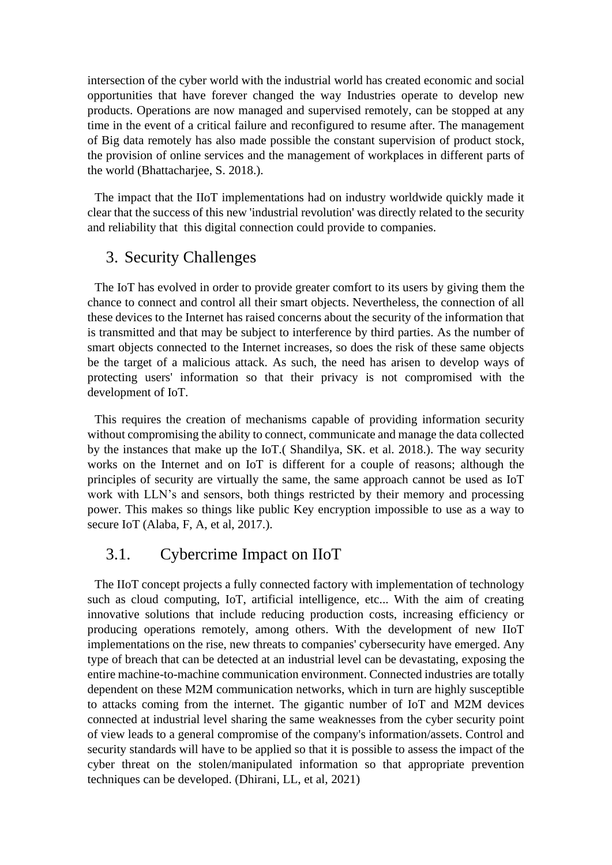intersection of the cyber world with the industrial world has created economic and social opportunities that have forever changed the way Industries operate to develop new products. Operations are now managed and supervised remotely, can be stopped at any time in the event of a critical failure and reconfigured to resume after. The management of Big data remotely has also made possible the constant supervision of product stock, the provision of online services and the management of workplaces in different parts of the world (Bhattacharjee, S. 2018.).

The impact that the IIoT implementations had on industry worldwide quickly made it clear that the success of this new 'industrial revolution' was directly related to the security and reliability that this digital connection could provide to companies.

#### 3. Security Challenges

The IoT has evolved in order to provide greater comfort to its users by giving them the chance to connect and control all their smart objects. Nevertheless, the connection of all these devices to the Internet has raised concerns about the security of the information that is transmitted and that may be subject to interference by third parties. As the number of smart objects connected to the Internet increases, so does the risk of these same objects be the target of a malicious attack. As such, the need has arisen to develop ways of protecting users' information so that their privacy is not compromised with the development of IoT.

This requires the creation of mechanisms capable of providing information security without compromising the ability to connect, communicate and manage the data collected by the instances that make up the IoT.( Shandilya, SK. et al. 2018.). The way security works on the Internet and on IoT is different for a couple of reasons; although the principles of security are virtually the same, the same approach cannot be used as IoT work with LLN's and sensors, both things restricted by their memory and processing power. This makes so things like public Key encryption impossible to use as a way to secure IoT (Alaba, F, A, et al, 2017.).

#### 3.1. Cybercrime Impact on IIoT

The IIoT concept projects a fully connected factory with implementation of technology such as cloud computing, IoT, artificial intelligence, etc... With the aim of creating innovative solutions that include reducing production costs, increasing efficiency or producing operations remotely, among others. With the development of new IIoT implementations on the rise, new threats to companies' cybersecurity have emerged. Any type of breach that can be detected at an industrial level can be devastating, exposing the entire machine-to-machine communication environment. Connected industries are totally dependent on these M2M communication networks, which in turn are highly susceptible to attacks coming from the internet. The gigantic number of IoT and M2M devices connected at industrial level sharing the same weaknesses from the cyber security point of view leads to a general compromise of the company's information/assets. Control and security standards will have to be applied so that it is possible to assess the impact of the cyber threat on the stolen/manipulated information so that appropriate prevention techniques can be developed. (Dhirani, LL, et al, 2021)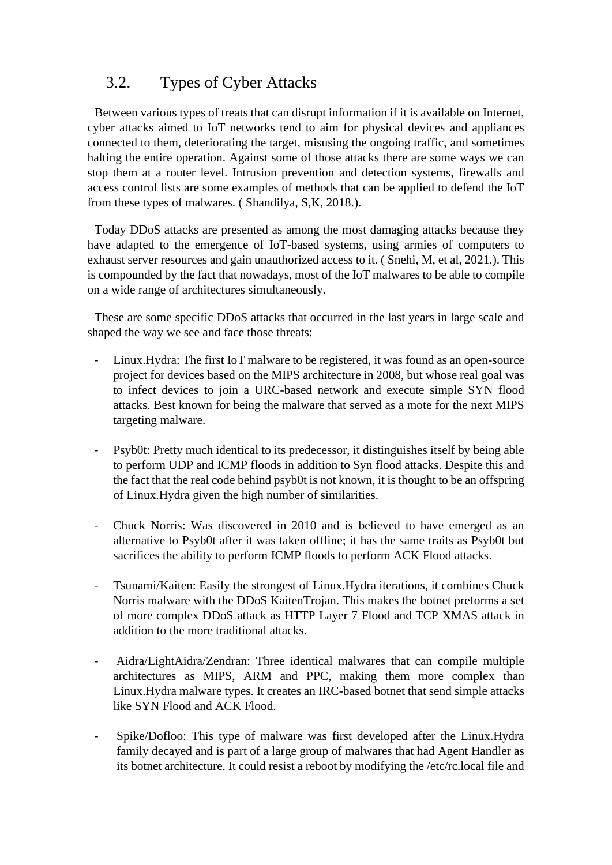# 3.2. Types of Cyber Attacks

Between various types of treats that can disrupt information if it is available on Internet, cyber attacks aimed to IoT networks tend to aim for physical devices and appliances connected to them, deteriorating the target, misusing the ongoing traffic, and sometimes halting the entire operation. Against some of those attacks there are some ways we can stop them at a router level. Intrusion prevention and detection systems, firewalls and access control lists are some examples of methods that can be applied to defend the IoT from these types of malwares. ( Shandilya, S,K, 2018.).

Today DDoS attacks are presented as among the most damaging attacks because they have adapted to the emergence of IoT-based systems, using armies of computers to exhaust server resources and gain unauthorized access to it. ( Snehi, M, et al, 2021.). This is compounded by the fact that nowadays, most of the IoT malwares to be able to compile on a wide range of architectures simultaneously.

These are some specific DDoS attacks that occurred in the last years in large scale and shaped the way we see and face those threats:

- Linux.Hydra: The first IoT malware to be registered, it was found as an open-source project for devices based on the MIPS architecture in 2008, but whose real goal was to infect devices to join a URC-based network and execute simple SYN flood attacks. Best known for being the malware that served as a mote for the next MIPS targeting malware.
- Psyb0t: Pretty much identical to its predecessor, it distinguishes itself by being able to perform UDP and ICMP floods in addition to Syn flood attacks. Despite this and the fact that the real code behind psyb0t is not known, it is thought to be an offspring of Linux.Hydra given the high number of similarities.
- Chuck Norris: Was discovered in 2010 and is believed to have emerged as an alternative to Psyb0t after it was taken offline; it has the same traits as Psyb0t but sacrifices the ability to perform ICMP floods to perform ACK Flood attacks.
- Tsunami/Kaiten: Easily the strongest of Linux.Hydra iterations, it combines Chuck Norris malware with the DDoS KaitenTrojan. This makes the botnet preforms a set of more complex DDoS attack as HTTP Layer 7 Flood and TCP XMAS attack in addition to the more traditional attacks.
- Aidra/LightAidra/Zendran: Three identical malwares that can compile multiple architectures as MIPS, ARM and PPC, making them more complex than Linux.Hydra malware types. It creates an IRC-based botnet that send simple attacks like SYN Flood and ACK Flood.
- Spike/Dofloo: This type of malware was first developed after the Linux.Hydra family decayed and is part of a large group of malwares that had Agent Handler as its botnet architecture. It could resist a reboot by modifying the /etc/rc.local file and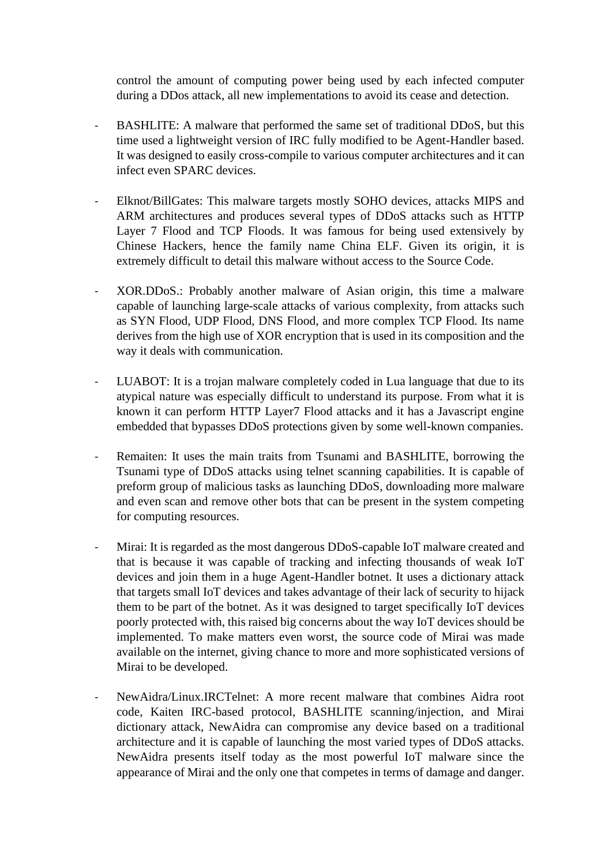control the amount of computing power being used by each infected computer during a DDos attack, all new implementations to avoid its cease and detection.

- BASHLITE: A malware that performed the same set of traditional DDoS, but this time used a lightweight version of IRC fully modified to be Agent-Handler based. It was designed to easily cross-compile to various computer architectures and it can infect even SPARC devices.
- Elknot/BillGates: This malware targets mostly SOHO devices, attacks MIPS and ARM architectures and produces several types of DDoS attacks such as HTTP Layer 7 Flood and TCP Floods. It was famous for being used extensively by Chinese Hackers, hence the family name China ELF. Given its origin, it is extremely difficult to detail this malware without access to the Source Code.
- XOR.DDoS.: Probably another malware of Asian origin, this time a malware capable of launching large-scale attacks of various complexity, from attacks such as SYN Flood, UDP Flood, DNS Flood, and more complex TCP Flood. Its name derives from the high use of XOR encryption that is used in its composition and the way it deals with communication.
- LUABOT: It is a trojan malware completely coded in Lua language that due to its atypical nature was especially difficult to understand its purpose. From what it is known it can perform HTTP Layer7 Flood attacks and it has a Javascript engine embedded that bypasses DDoS protections given by some well-known companies.
- Remaiten: It uses the main traits from Tsunami and BASHLITE, borrowing the Tsunami type of DDoS attacks using telnet scanning capabilities. It is capable of preform group of malicious tasks as launching DDoS, downloading more malware and even scan and remove other bots that can be present in the system competing for computing resources.
- Mirai: It is regarded as the most dangerous DDoS-capable IoT malware created and that is because it was capable of tracking and infecting thousands of weak IoT devices and join them in a huge Agent-Handler botnet. It uses a dictionary attack that targets small IoT devices and takes advantage of their lack of security to hijack them to be part of the botnet. As it was designed to target specifically IoT devices poorly protected with, this raised big concerns about the way IoT devices should be implemented. To make matters even worst, the source code of Mirai was made available on the internet, giving chance to more and more sophisticated versions of Mirai to be developed.
- NewAidra/Linux.IRCTelnet: A more recent malware that combines Aidra root code, Kaiten IRC-based protocol, BASHLITE scanning/injection, and Mirai dictionary attack, NewAidra can compromise any device based on a traditional architecture and it is capable of launching the most varied types of DDoS attacks. NewAidra presents itself today as the most powerful IoT malware since the appearance of Mirai and the only one that competes in terms of damage and danger.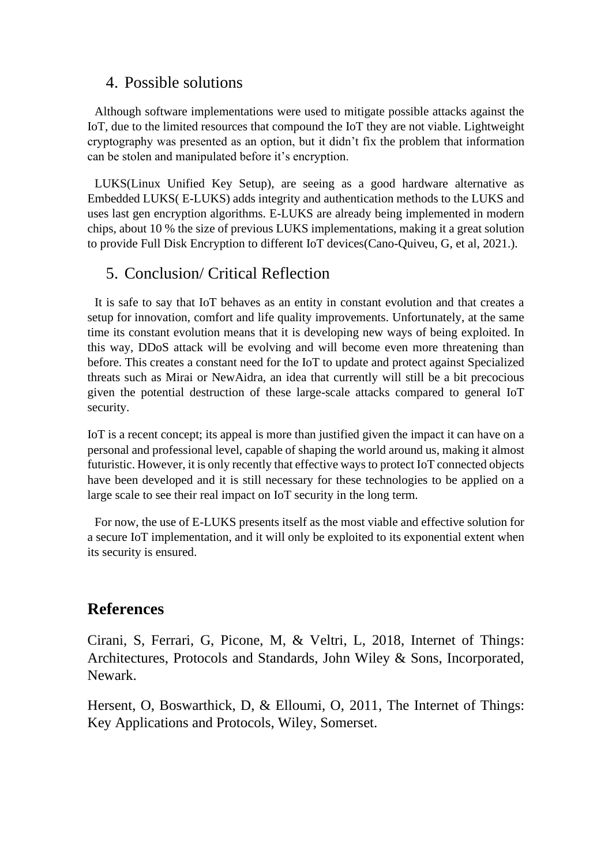## 4. Possible solutions

Although software implementations were used to mitigate possible attacks against the IoT, due to the limited resources that compound the IoT they are not viable. Lightweight cryptography was presented as an option, but it didn't fix the problem that information can be stolen and manipulated before it's encryption.

LUKS(Linux Unified Key Setup), are seeing as a good hardware alternative as Embedded LUKS( E-LUKS) adds integrity and authentication methods to the LUKS and uses last gen encryption algorithms. E-LUKS are already being implemented in modern chips, about 10 % the size of previous LUKS implementations, making it a great solution to provide Full Disk Encryption to different IoT devices(Cano-Quiveu, G, et al, 2021.).

## 5. Conclusion/ Critical Reflection

It is safe to say that IoT behaves as an entity in constant evolution and that creates a setup for innovation, comfort and life quality improvements. Unfortunately, at the same time its constant evolution means that it is developing new ways of being exploited. In this way, DDoS attack will be evolving and will become even more threatening than before. This creates a constant need for the IoT to update and protect against Specialized threats such as Mirai or NewAidra, an idea that currently will still be a bit precocious given the potential destruction of these large-scale attacks compared to general IoT security.

IoT is a recent concept; its appeal is more than justified given the impact it can have on a personal and professional level, capable of shaping the world around us, making it almost futuristic. However, it is only recently that effective ways to protect IoT connected objects have been developed and it is still necessary for these technologies to be applied on a large scale to see their real impact on IoT security in the long term.

For now, the use of E-LUKS presents itself as the most viable and effective solution for a secure IoT implementation, and it will only be exploited to its exponential extent when its security is ensured.

## **References**

Cirani, S, Ferrari, G, Picone, M, & Veltri, L, 2018, Internet of Things: Architectures, Protocols and Standards, John Wiley & Sons, Incorporated, Newark.

Hersent, O, Boswarthick, D, & Elloumi, O, 2011, The Internet of Things: Key Applications and Protocols, Wiley, Somerset.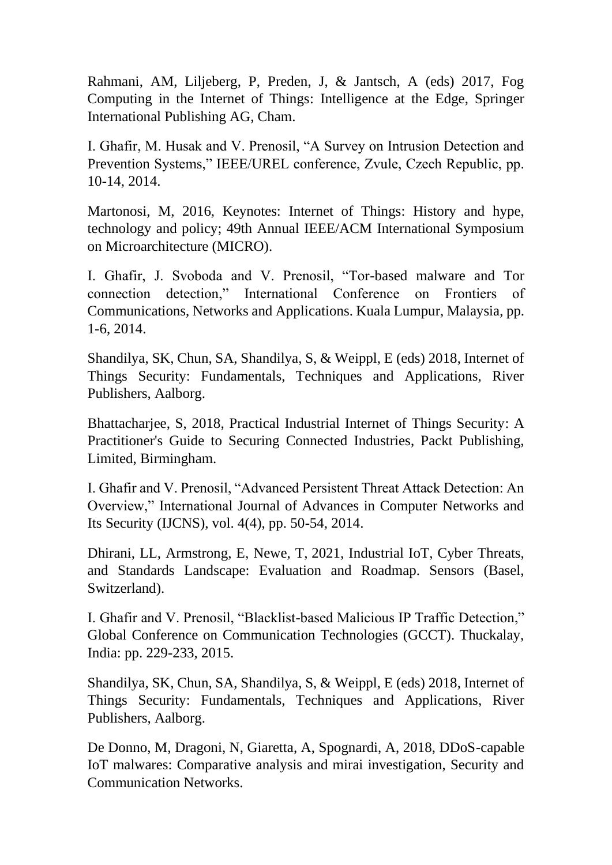Rahmani, AM, Liljeberg, P, Preden, J, & Jantsch, A (eds) 2017, Fog Computing in the Internet of Things: Intelligence at the Edge, Springer International Publishing AG, Cham.

I. Ghafir, M. Husak and V. Prenosil, "A Survey on Intrusion Detection and Prevention Systems," IEEE/UREL conference, Zvule, Czech Republic, pp. 10-14, 2014.

Martonosi, M, 2016, Keynotes: Internet of Things: History and hype, technology and policy; 49th Annual IEEE/ACM International Symposium on Microarchitecture (MICRO).

I. Ghafir, J. Svoboda and V. Prenosil, "Tor-based malware and Tor connection detection," International Conference on Frontiers of Communications, Networks and Applications. Kuala Lumpur, Malaysia, pp. 1-6, 2014.

Shandilya, SK, Chun, SA, Shandilya, S, & Weippl, E (eds) 2018, Internet of Things Security: Fundamentals, Techniques and Applications, River Publishers, Aalborg.

Bhattacharjee, S, 2018, Practical Industrial Internet of Things Security: A Practitioner's Guide to Securing Connected Industries, Packt Publishing, Limited, Birmingham.

I. Ghafir and V. Prenosil, "Advanced Persistent Threat Attack Detection: An Overview," International Journal of Advances in Computer Networks and Its Security (IJCNS), vol. 4(4), pp. 50-54, 2014.

Dhirani, LL, Armstrong, E, Newe, T, 2021, Industrial IoT, Cyber Threats, and Standards Landscape: Evaluation and Roadmap. Sensors (Basel, Switzerland).

I. Ghafir and V. Prenosil, "Blacklist-based Malicious IP Traffic Detection," Global Conference on Communication Technologies (GCCT). Thuckalay, India: pp. 229-233, 2015.

Shandilya, SK, Chun, SA, Shandilya, S, & Weippl, E (eds) 2018, Internet of Things Security: Fundamentals, Techniques and Applications, River Publishers, Aalborg.

De Donno, M, Dragoni, N, Giaretta, A, Spognardi, A, 2018, DDoS-capable IoT malwares: Comparative analysis and mirai investigation, Security and Communication Networks.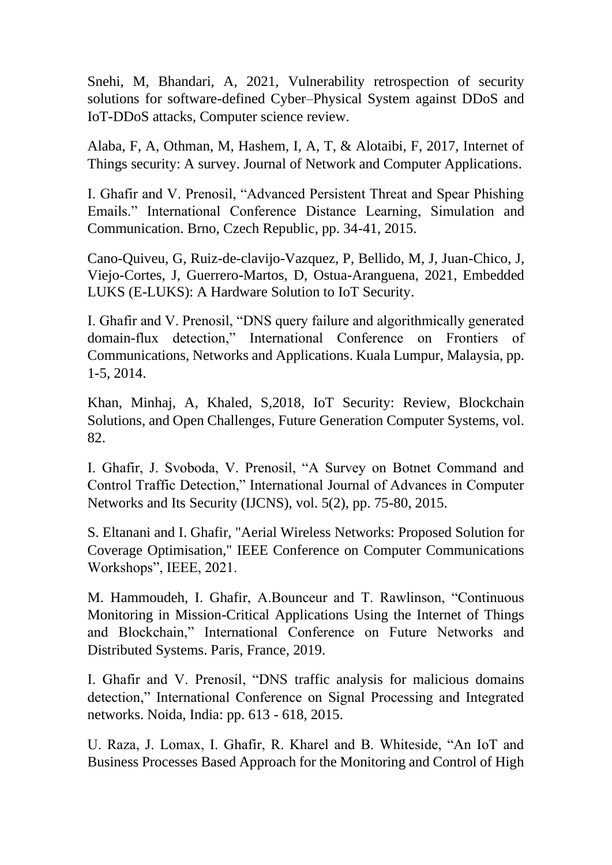Snehi, M, Bhandari, A, 2021, Vulnerability retrospection of security solutions for software-defined Cyber–Physical System against DDoS and IoT-DDoS attacks, Computer science review.

Alaba, F, A, Othman, M, Hashem, I, A, T, & Alotaibi, F, 2017, Internet of Things security: A survey. Journal of Network and Computer Applications.

I. Ghafir and V. Prenosil, "Advanced Persistent Threat and Spear Phishing Emails." International Conference Distance Learning, Simulation and Communication. Brno, Czech Republic, pp. 34-41, 2015.

Cano-Quiveu, G, Ruiz-de-clavijo-Vazquez, P, Bellido, M, J, Juan-Chico, J, Viejo-Cortes, J, Guerrero-Martos, D, Ostua-Aranguena, 2021, Embedded LUKS (E-LUKS): A Hardware Solution to IoT Security.

I. Ghafir and V. Prenosil, "DNS query failure and algorithmically generated domain-flux detection," International Conference on Frontiers of Communications, Networks and Applications. Kuala Lumpur, Malaysia, pp. 1-5, 2014.

Khan, Minhaj, A, Khaled, S,2018, IoT Security: Review, Blockchain Solutions, and Open Challenges, Future Generation Computer Systems, vol. 82.

I. Ghafir, J. Svoboda, V. Prenosil, "A Survey on Botnet Command and Control Traffic Detection," International Journal of Advances in Computer Networks and Its Security (IJCNS), vol. 5(2), pp. 75-80, 2015.

S. Eltanani and I. Ghafir, "Aerial Wireless Networks: Proposed Solution for Coverage Optimisation," IEEE Conference on Computer Communications Workshops", IEEE, 2021.

M. Hammoudeh, I. Ghafir, A.Bounceur and T. Rawlinson, "Continuous Monitoring in Mission-Critical Applications Using the Internet of Things and Blockchain," International Conference on Future Networks and Distributed Systems. Paris, France, 2019.

I. Ghafir and V. Prenosil, "DNS traffic analysis for malicious domains detection," International Conference on Signal Processing and Integrated networks. Noida, India: pp. 613 - 618, 2015.

U. Raza, J. Lomax, I. Ghafir, R. Kharel and B. Whiteside, "An IoT and Business Processes Based Approach for the Monitoring and Control of High